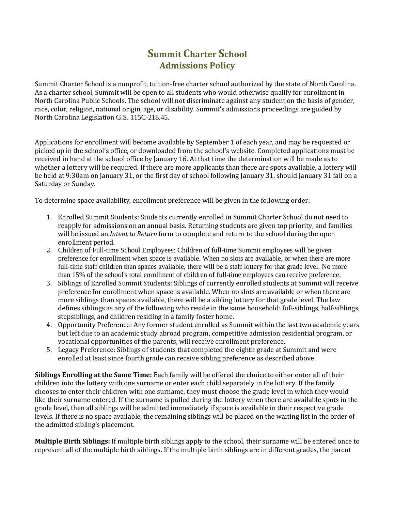## **Summit Charter School Admissions Policy**

Summit Charter School is a nonprofit, tuition-free charter school authorized by the state of North Carolina. As a charter school, Summit will be open to all students who would otherwise qualify for enrollment in North Carolina Public Schools. The school will not discriminate against any student on the basis of gender, race, color, religion, national origin, age, or disability. Summit's admissions proceedings are guided by North Carolina Legislation G.S. 115C-218.45.

Applications for enrollment will become available by September 1 of each year, and may be requested or picked up in the school's office, or downloaded from the school's website. Completed applications must be received in hand at the school office by January 16. At that time the determination will be made as to whether a lottery will be required. If there are more applicants than there are spots available, a lottery will be held at 9:30am on January 31, or the first day of school following January 31, should January 31 fall on a Saturday or Sunday.

To determine space availability, enrollment preference will be given in the following order:

- 1. Enrolled Summit Students: Students currently enrolled in Summit Charter School do not need to reapply for admissions on an annual basis. Returning students are given top priority, and families will be issued an *Intent to Return* form to complete and return to the school during the open enrollment period.
- 2. Children of Full-time School Employees: Children of full-time Summit employees will be given preference for enrollment when space is available. When no slots are available, or when there are more full-time staff children than spaces available, there will be a staff lottery for that grade level. No more than 15% of the school's total enrollment of children of full-time employees can receive preference.
- 3. Siblings of Enrolled Summit Students: Siblings of currently enrolled students at Summit will receive preference for enrollment when space is available. When no slots are available or when there are more siblings than spaces available, there will be a sibling lottery for that grade level. The law defines siblings as any of the following who reside in the same household: full-siblings, half-siblings, stepsiblings, and children residing in a family foster home.
- 4. Opportunity Preference: Any former student enrolled as Summit within the last two academic years but left due to an academic study abroad program, competitive admission residential program, or vocational opportunities of the parents, will receive enrollment preference.
- 5. Legacy Preference: Siblings of students that completed the eighth grade at Summit and were enrolled at least since fourth grade can receive sibling preference as described above.

**Siblings Enrolling at the Same Time:** Each family will be offered the choice to either enter all of their children into the lottery with one surname or enter each child separately in the lottery. If the family chooses to enter their children with one surname, they must choose the grade level in which they would like their surname entered. If the surname is pulled during the lottery when there are available spots in the grade level, then all siblings will be admitted immediately if space is available in their respective grade levels. If there is no space available, the remaining siblings will be placed on the waiting list in the order of the admitted sibling's placement.

**Multiple Birth Siblings:** If multiple birth siblings apply to the school, their surname will be entered once to represent all of the multiple birth siblings. If the multiple birth siblings are in different grades, the parent